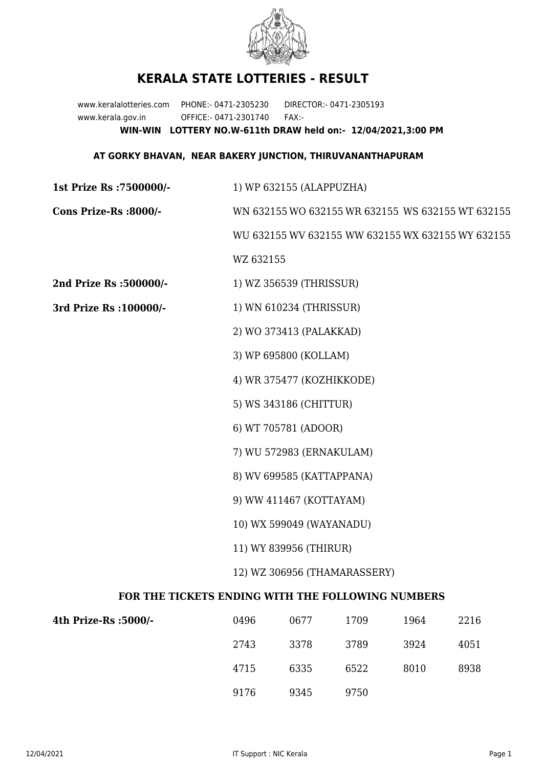

## **KERALA STATE LOTTERIES - RESULT**

www.keralalotteries.com PHONE:- 0471-2305230 DIRECTOR:- 0471-2305193 www.kerala.gov.in OFFICE:- 0471-2301740 FAX:- **WIN-WIN LOTTERY NO.W-611th DRAW held on:- 12/04/2021,3:00 PM**

## **AT GORKY BHAVAN, NEAR BAKERY JUNCTION, THIRUVANANTHAPURAM**

| 1st Prize Rs : 7500000/-                          | 1) WP 632155 (ALAPPUZHA)                                                           |                         |      |      |      |  |  |
|---------------------------------------------------|------------------------------------------------------------------------------------|-------------------------|------|------|------|--|--|
| Cons Prize-Rs :8000/-                             | WN 632155 WO 632155 WR 632155 WS 632155 WT 632155                                  |                         |      |      |      |  |  |
|                                                   | WU 632155 WV 632155 WW 632155 WX 632155 WY 632155                                  |                         |      |      |      |  |  |
|                                                   | WZ 632155                                                                          |                         |      |      |      |  |  |
| 2nd Prize Rs :500000/-                            |                                                                                    | 1) WZ 356539 (THRISSUR) |      |      |      |  |  |
| 3rd Prize Rs : 100000/-                           | 1) WN 610234 (THRISSUR)                                                            |                         |      |      |      |  |  |
|                                                   | 2) WO 373413 (PALAKKAD)                                                            |                         |      |      |      |  |  |
|                                                   | 3) WP 695800 (KOLLAM)                                                              |                         |      |      |      |  |  |
|                                                   | 4) WR 375477 (KOZHIKKODE)                                                          |                         |      |      |      |  |  |
|                                                   | 5) WS 343186 (CHITTUR)                                                             |                         |      |      |      |  |  |
|                                                   | 6) WT 705781 (ADOOR)                                                               |                         |      |      |      |  |  |
|                                                   | 7) WU 572983 (ERNAKULAM)                                                           |                         |      |      |      |  |  |
|                                                   | 8) WV 699585 (KATTAPPANA)                                                          |                         |      |      |      |  |  |
|                                                   | 9) WW 411467 (KOTTAYAM)                                                            |                         |      |      |      |  |  |
|                                                   | 10) WX 599049 (WAYANADU)<br>11) WY 839956 (THIRUR)<br>12) WZ 306956 (THAMARASSERY) |                         |      |      |      |  |  |
|                                                   |                                                                                    |                         |      |      |      |  |  |
|                                                   |                                                                                    |                         |      |      |      |  |  |
| FOR THE TICKETS ENDING WITH THE FOLLOWING NUMBERS |                                                                                    |                         |      |      |      |  |  |
| 4th Prize-Rs :5000/-                              | 0496                                                                               | 0677                    | 1709 | 1964 | 2216 |  |  |
|                                                   | 2743                                                                               | 3378                    | 3789 | 3924 | 4051 |  |  |

9176 9345 9750

4715 6335 6522 8010 8938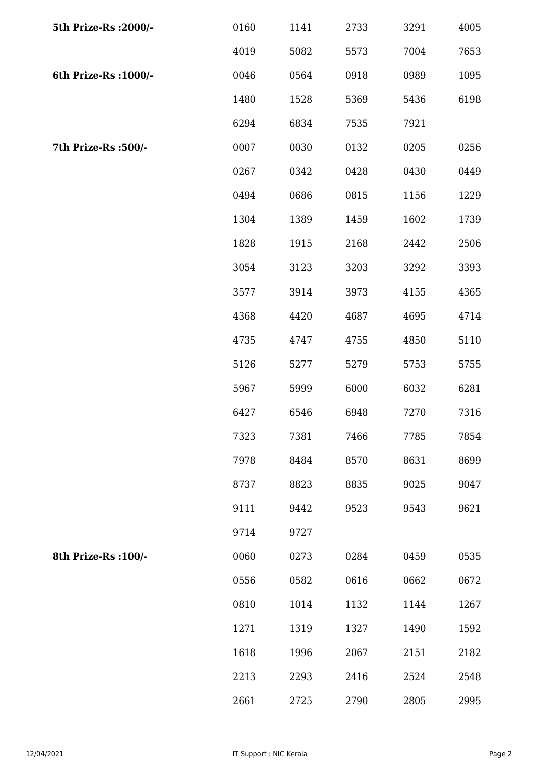| 5th Prize-Rs : 2000/- | 0160 | 1141 | 2733 | 3291 | 4005 |
|-----------------------|------|------|------|------|------|
|                       | 4019 | 5082 | 5573 | 7004 | 7653 |
| 6th Prize-Rs : 1000/- | 0046 | 0564 | 0918 | 0989 | 1095 |
|                       | 1480 | 1528 | 5369 | 5436 | 6198 |
|                       | 6294 | 6834 | 7535 | 7921 |      |
| 7th Prize-Rs :500/-   | 0007 | 0030 | 0132 | 0205 | 0256 |
|                       | 0267 | 0342 | 0428 | 0430 | 0449 |
|                       | 0494 | 0686 | 0815 | 1156 | 1229 |
|                       | 1304 | 1389 | 1459 | 1602 | 1739 |
|                       | 1828 | 1915 | 2168 | 2442 | 2506 |
|                       | 3054 | 3123 | 3203 | 3292 | 3393 |
|                       | 3577 | 3914 | 3973 | 4155 | 4365 |
|                       | 4368 | 4420 | 4687 | 4695 | 4714 |
|                       | 4735 | 4747 | 4755 | 4850 | 5110 |
|                       | 5126 | 5277 | 5279 | 5753 | 5755 |
|                       | 5967 | 5999 | 6000 | 6032 | 6281 |
|                       | 6427 | 6546 | 6948 | 7270 | 7316 |
|                       | 7323 | 7381 | 7466 | 7785 | 7854 |
|                       | 7978 | 8484 | 8570 | 8631 | 8699 |
|                       | 8737 | 8823 | 8835 | 9025 | 9047 |
|                       | 9111 | 9442 | 9523 | 9543 | 9621 |
|                       | 9714 | 9727 |      |      |      |
| 8th Prize-Rs : 100/-  | 0060 | 0273 | 0284 | 0459 | 0535 |
|                       | 0556 | 0582 | 0616 | 0662 | 0672 |
|                       | 0810 | 1014 | 1132 | 1144 | 1267 |
|                       | 1271 | 1319 | 1327 | 1490 | 1592 |
|                       | 1618 | 1996 | 2067 | 2151 | 2182 |
|                       | 2213 | 2293 | 2416 | 2524 | 2548 |
|                       | 2661 | 2725 | 2790 | 2805 | 2995 |